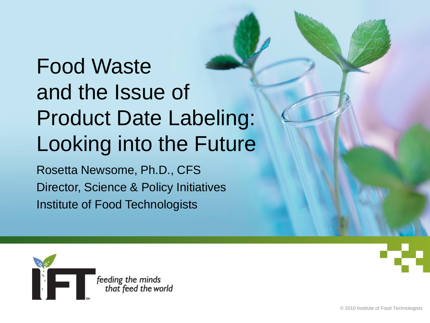### Food Waste and the Issue of Product Date Labeling: Looking into the Future

Rosetta Newsome, Ph.D., CFS Director, Science & Policy Initiatives Institute of Food Technologists

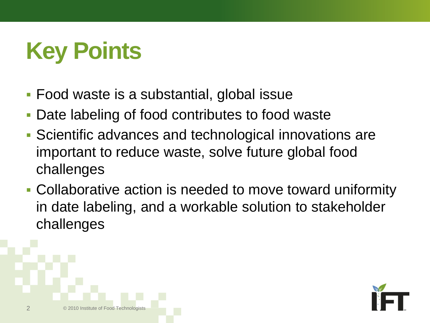# **Key Points**

- **Food waste is a substantial, global issue**
- Date labeling of food contributes to food waste
- Scientific advances and technological innovations are important to reduce waste, solve future global food challenges
- Collaborative action is needed to move toward uniformity in date labeling, and a workable solution to stakeholder challenges



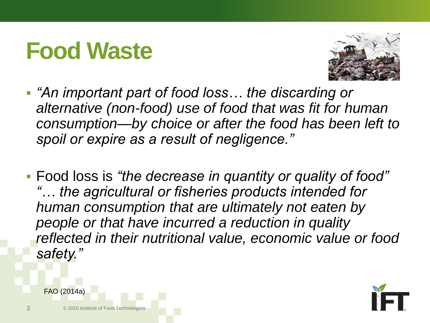#### **Food Waste**



- *"An important part of food loss… the discarding or alternative (non-food) use of food that was fit for human consumption—by choice or after the food has been left to spoil or expire as a result of negligence."*
- Food loss is *"the decrease in quantity or quality of food" "… the agricultural or fisheries products intended for human consumption that are ultimately not eaten by people or that have incurred a reduction in quality reflected in their nutritional value, economic value or food safety."*



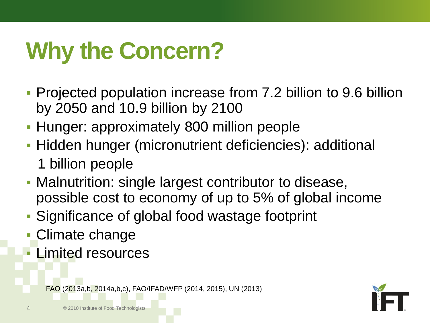# **Why the Concern?**

- Projected population increase from 7.2 billion to 9.6 billion by 2050 and 10.9 billion by 2100
- **Hunger: approximately 800 million people**
- **Hidden hunger (micronutrient deficiencies): additional** 1 billion people
- Malnutrition: single largest contributor to disease, possible cost to economy of up to 5% of global income
- Significance of global food wastage footprint
- Climate change
- Limited resources

FAO (2013a,b, 2014a,b,c), FAO/IFAD/WFP (2014, 2015), UN (2013)

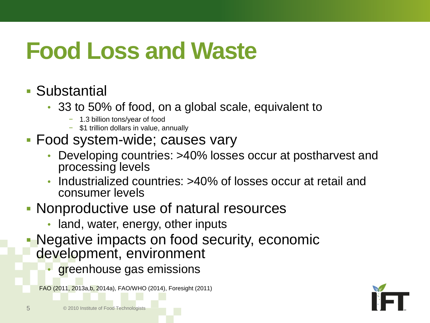# **Food Loss and Waste**

#### Substantial

- 33 to 50% of food, on a global scale, equivalent to
	- − 1.3 billion tons/year of food
	- − \$1 trillion dollars in value, annually

#### Food system-wide; causes vary

- Developing countries: >40% losses occur at postharvest and processing levels
- Industrialized countries: >40% of losses occur at retail and consumer levels

#### Nonproductive use of natural resources

- land, water, energy, other inputs
- Negative impacts on food security, economic development, environment
	- greenhouse gas emissions

FAO (2011, 2013a,b, 2014a), FAO/WHO (2014), Foresight (2011)

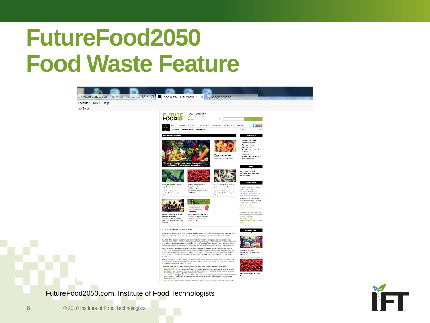### **FutureFood2050 Food Waste Feature**





6 © 2010 Institute of Food Technologists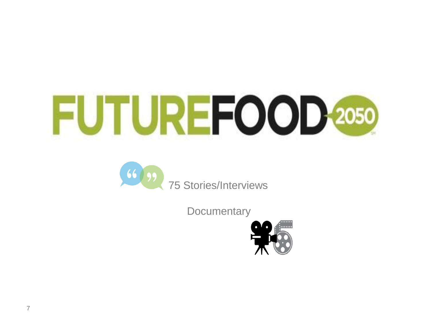



**Documentary** 

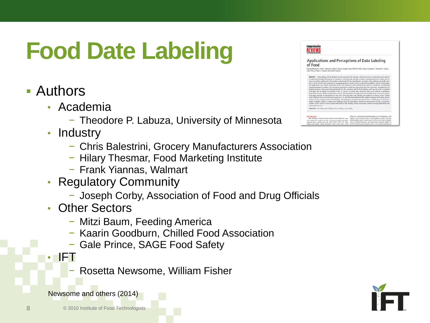# **Food Date Labeling**

- Authors
	- Academia
		- − Theodore P. Labuza, University of Minnesota
	- Industry
		- − Chris Balestrini, Grocery Manufacturers Association
		- − Hilary Thesmar, Food Marketing Institute
		- − Frank Yiannas, Walmart
	- Regulatory Community
		- − Joseph Corby, Association of Food and Drug Officials
	- Other Sectors
		- − Mitzi Baum, Feeding America
		- − Kaarin Goodburn, Chilled Food Association
		- − Gale Prince, SAGE Food Safety
	- IFT
		- − Rosetta Newsome, William Fisher



| of Food                                                                                | Applications and Perceptions of Date Labeling                                                                                                                                                                                                                                                                                                                                                                                                                                                                                                                                                                                                                                                                                                                                                                                                                                                                                                                                                                                                                                                                                                                                                                                                                                                                                                                                                                                                                                                                                                                                                                                                                                                                                                                           |  |
|----------------------------------------------------------------------------------------|-------------------------------------------------------------------------------------------------------------------------------------------------------------------------------------------------------------------------------------------------------------------------------------------------------------------------------------------------------------------------------------------------------------------------------------------------------------------------------------------------------------------------------------------------------------------------------------------------------------------------------------------------------------------------------------------------------------------------------------------------------------------------------------------------------------------------------------------------------------------------------------------------------------------------------------------------------------------------------------------------------------------------------------------------------------------------------------------------------------------------------------------------------------------------------------------------------------------------------------------------------------------------------------------------------------------------------------------------------------------------------------------------------------------------------------------------------------------------------------------------------------------------------------------------------------------------------------------------------------------------------------------------------------------------------------------------------------------------------------------------------------------------|--|
| Gale Prince, Hilary S. Thesmar, and Frank Yiannas.                                     | Rosetta Newsome, Chris G. Balestrini, Mitzi B. Baum, Joseph Corby, William Fisher, Kaarin Goodburn, Theodore P. Labura,                                                                                                                                                                                                                                                                                                                                                                                                                                                                                                                                                                                                                                                                                                                                                                                                                                                                                                                                                                                                                                                                                                                                                                                                                                                                                                                                                                                                                                                                                                                                                                                                                                                 |  |
| reducing food want.<br>Keywords: code dating, date labeling, date marking, open dating | Abstract: Open dating of food products has been practiced for decades, and has been key to achieving muck rotation<br>at retail and retoriding information to consumers. The open date provides a struck communication tool, which may be<br>hand on product quality and/or food spiry as determined by the manufacturer or retailer. Date marking is generally spen<br>but it can be closed foode intended for managing product at retail, and for recall and traceability), and the terminology<br>and applications vary widely around the world. The variation in date labeling terms and uses contributes to substantial<br>minundentanding by industry and comments and leads to significant minecessary field loss and wants, misapplication of<br>limited resource, annocesary financial bardon for the consumer and the food industry, and may also lead to potential<br>food safety this in regards to perishable foods. A "ase by" or stroke date cannot be relied on to indicate or examinate<br>food salety because absolute temporature control of food products throughout the food supply chain easyed be assured.<br>This naper provides an introduction to the issue of food product date labeling and addresses its history in the United<br>States, different terms used and various practices, U.S. and international frameworks, quality compared with safety, adversa-<br>inputs of miconception about date labeling, and advantages of technological interestions. Collaboration to develop a<br>simple workable solution to address the challenges faced by stakeholders would have tremendous benefit. Conclusions<br>include a call to action to move toward uniformity in date labeling, therebe decreasing confusion among stakeholders and |  |
|                                                                                        |                                                                                                                                                                                                                                                                                                                                                                                                                                                                                                                                                                                                                                                                                                                                                                                                                                                                                                                                                                                                                                                                                                                                                                                                                                                                                                                                                                                                                                                                                                                                                                                                                                                                                                                                                                         |  |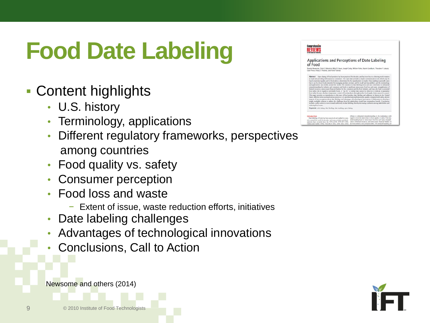# **Food Date Labeling**

- Content highlights
	- U.S. history
	- Terminology, applications
	- Different regulatory frameworks, perspectives among countries
	- Food quality vs. safety
	- Consumer perception
	- Food loss and waste
		- − Extent of issue, waste reduction efforts, initiatives
	- Date labeling challenges
	- Advantages of technological innovations
	- Conclusions, Call to Action



| Applications and Perceptions of Date Labeling<br>of Food                                                                                                                                                                                                                                                                                                                                                                                                                                                                                                                                                                                                                                                                                                                                                                                                                                                                                                                                                                                                                                                                                                                                                                                                                                                                                                                                                                                                                                                                                                                                                                                                                                                                                                                                       |
|------------------------------------------------------------------------------------------------------------------------------------------------------------------------------------------------------------------------------------------------------------------------------------------------------------------------------------------------------------------------------------------------------------------------------------------------------------------------------------------------------------------------------------------------------------------------------------------------------------------------------------------------------------------------------------------------------------------------------------------------------------------------------------------------------------------------------------------------------------------------------------------------------------------------------------------------------------------------------------------------------------------------------------------------------------------------------------------------------------------------------------------------------------------------------------------------------------------------------------------------------------------------------------------------------------------------------------------------------------------------------------------------------------------------------------------------------------------------------------------------------------------------------------------------------------------------------------------------------------------------------------------------------------------------------------------------------------------------------------------------------------------------------------------------|
| Rosetta Newsome, Chris G. Balestrini, Mitzi B. Baum, Joseph Corby, William Fisher, Kaarin Goodburn, Theodore P. Labura,<br>Gale Prince, Hilary S. Thesmar, and Frank Yianmas                                                                                                                                                                                                                                                                                                                                                                                                                                                                                                                                                                                                                                                                                                                                                                                                                                                                                                                                                                                                                                                                                                                                                                                                                                                                                                                                                                                                                                                                                                                                                                                                                   |
| Abstract: Open dating of food products has been practiced for decades, and has been key to achieving muck rotation<br>at retail and providing information to consumers. The open date provides a struple communication tool, which may be<br>hand on product quality and/or food spiry as determined by the manufacturer or retailer. Date marking is generally spen<br>but it can be closed foode intended for managing product at retail, and for recall and traceability), and the terminology<br>and applications vary widely around the world. The variation in date labeling terms and som contributes to substantial<br>minundentanding by industry and comments and leads to significant minecessary field loss and wants, misapplication of<br>limited resource, annocesary financial bardon for the consumer and the food industry, and may also lead to potential<br>food safety this in regards to perishable foods. A "ase by" or stroke date cannot be relied on to indicate or examinate<br>food salety because absolute temporature control of food products throughout the food supply chain surrout be assured.<br>This naper provides an introduction to the issue of food product date labeling and addresses its history in the United<br>States, different terms used and various practices. U.S. and international frameworks, quality compared with safety, adversa-<br>inputs of miconception about date labeling, and advantages of technological interestions. Collaboration to develop a<br>simple workable solution to address the challenges faced by stakeholders would have tremendous benefit. Conclusions<br>include a call to action to move toward uniformity in date labeling, therebe decreasing confusion anong stakeholders and<br>reducing food wage. |
| Keywords: code dating, date labeling, date marking, open dating                                                                                                                                                                                                                                                                                                                                                                                                                                                                                                                                                                                                                                                                                                                                                                                                                                                                                                                                                                                                                                                                                                                                                                                                                                                                                                                                                                                                                                                                                                                                                                                                                                                                                                                                |

**Comprehensive**<br>REVIEWS



9 © 2010 Institute of Food Technologists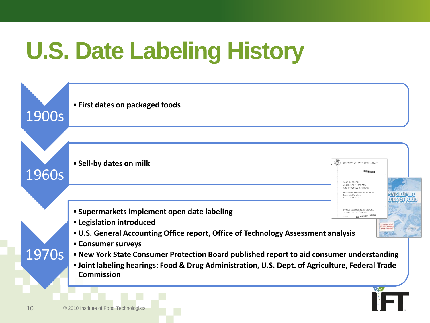# **U.S. Date Labeling History**

| 1900s                                                                                                                                                                                                                      | • First dates on packaged foods                                                                         |                                                                               |                                        |  |  |  |
|----------------------------------------------------------------------------------------------------------------------------------------------------------------------------------------------------------------------------|---------------------------------------------------------------------------------------------------------|-------------------------------------------------------------------------------|----------------------------------------|--|--|--|
|                                                                                                                                                                                                                            |                                                                                                         |                                                                               |                                        |  |  |  |
| 1960s                                                                                                                                                                                                                      | • Sell-by dates on milk                                                                                 | REPORT TO THE CONGRESS<br>MCHINAUFS<br>Food Labeling:                         |                                        |  |  |  |
|                                                                                                                                                                                                                            |                                                                                                         | Goals, Shortcomings,<br>And Proposed Changes<br>ertment of Agriculture        | PENISHELF LIFE<br><b>ATING OF FOOD</b> |  |  |  |
|                                                                                                                                                                                                                            | • Supermarkets implement open date labeling<br>• Legislation introduced                                 | BY THE COMPTROLLER GENERAL<br>OF THE UNITED STATES<br>BEST DOCUMENT AVAILABLE |                                        |  |  |  |
|                                                                                                                                                                                                                            | • U.S. General Accounting Office report, Office of Technology Assessment analysis<br>• Consumer surveys | <b>FROM LIBRAF</b>                                                            |                                        |  |  |  |
| 1970s<br>• New York State Consumer Protection Board published report to aid consumer understanding<br>. Joint labeling hearings: Food & Drug Administration, U.S. Dept. of Agriculture, Federal Trade<br><b>Commission</b> |                                                                                                         |                                                                               |                                        |  |  |  |
| 10                                                                                                                                                                                                                         | © 2010 Institute of Food Technologists                                                                  |                                                                               |                                        |  |  |  |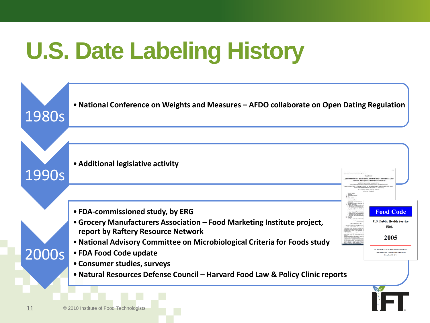# **U.S. Date Labeling History**

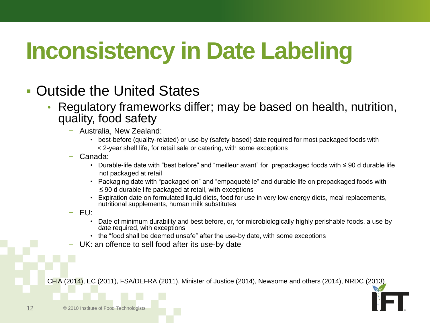# **Inconsistency in Date Labeling**

- Outside the United States
	- Regulatory frameworks differ; may be based on health, nutrition, quality, food safety
		- − Australia, New Zealand:
			- best-before (quality-related) or use-by (safety-based) date required for most packaged foods with < 2-year shelf life, for retail sale or catering, with some exceptions
		- − Canada:
			- Durable-life date with "best before" and "meilleur avant" for prepackaged foods with ≤ 90 d durable life not packaged at retail
			- Packaging date with "packaged on" and "empaqueté le" and durable life on prepackaged foods with ≤ 90 d durable life packaged at retail, with exceptions
			- Expiration date on formulated liquid diets, food for use in very low-energy diets, meal replacements, nutritional supplements, human milk substitutes
		- − EU:
			- Date of minimum durability and best before, or, for microbiologically highly perishable foods, a use-by date required, with exceptions
			- the "food shall be deemed unsafe" after the use-by date, with some exceptions
		- − UK: an offence to sell food after its use-by date

CFIA (2014), EC (2011), FSA/DEFRA (2011), Minister of Justice (2014), Newsome and others (2014), NRDC (2013)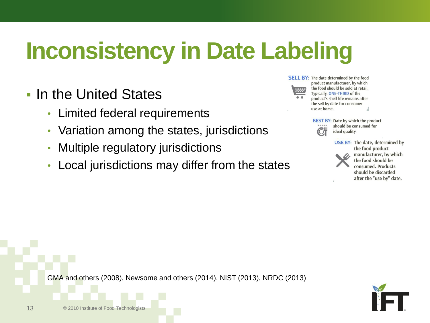# **Inconsistency in Date Labeling**

#### **In the United States**

- Limited federal requirements
- Variation among the states, jurisdictions
- Multiple regulatory jurisdictions
- Local jurisdictions may differ from the states



**SELL BY: The date determined by the food** product manufacturer, by which the food should be sold at retail. Typically, ONE-THIRD of the product's shelf life remains after the sell by date for consumer use at home.



**BEST BY: Date by which the product** should be consumed for ideal quality

> USE BY: The date, determined by the food product manufacturer, by which the food should be consumed. Products should be discarded after the "use by" date.

GMA and others (2008), Newsome and others (2014), NIST (2013), NRDC (2013)



13 **CENSISTS** © 2010 Institute of Food Technologists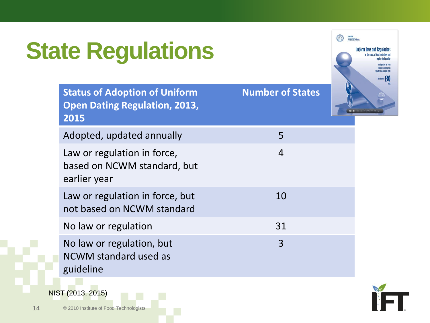# **State Regulations**



| <b>Status of Adoption of Uniform</b><br><b>Open Dating Regulation, 2013,</b><br>2015 | <b>Number of States</b> |
|--------------------------------------------------------------------------------------|-------------------------|
| Adopted, updated annually                                                            | 5                       |
| Law or regulation in force,<br>based on NCWM standard, but<br>earlier year           | $\overline{4}$          |
| Law or regulation in force, but<br>not based on NCWM standard                        | 10                      |
| No law or regulation                                                                 | 31                      |
| No law or regulation, but<br>NCWM standard used as<br>guideline                      | 3                       |



14 © 2010 Institute of Food Technologists

NIST (2013, 2015)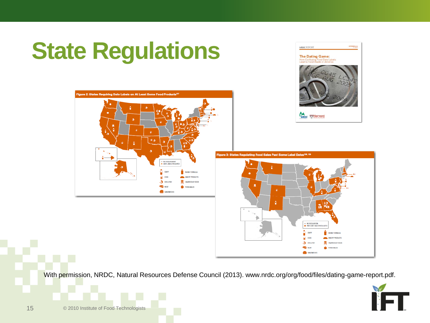

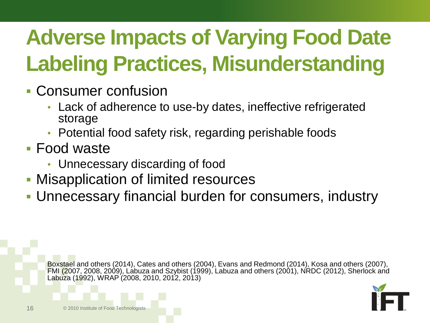# **Adverse Impacts of Varying Food Date Labeling Practices, Misunderstanding**

- Consumer confusion
	- Lack of adherence to use-by dates, ineffective refrigerated storage
	- Potential food safety risk, regarding perishable foods
- Food waste
	- Unnecessary discarding of food
- **Misapplication of limited resources**
- Unnecessary financial burden for consumers, industry

Boxstael and others (2014), Cates and others (2004), Evans and Redmond (2014), Kosa and others (2007), FMI (2007, 2008, 2009), Labuza and Szybist (1999), Labuza and others (2001), NRDC (2012), Sherlock and Labuza (1992), WRAP (2008, 2010, 2012, 2013)

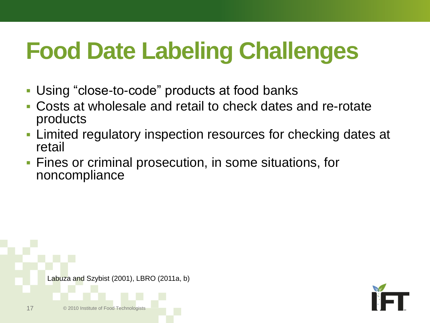# **Food Date Labeling Challenges**

- Using "close-to-code" products at food banks
- Costs at wholesale and retail to check dates and re-rotate products
- Limited regulatory inspection resources for checking dates at retail
- Fines or criminal prosecution, in some situations, for noncompliance



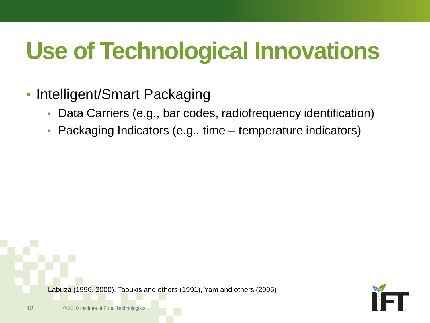# **Use of Technological Innovations**

#### **Intelligent/Smart Packaging**

- Data Carriers (e.g., bar codes, radiofrequency identification)
- Packaging Indicators (e.g., time temperature indicators)



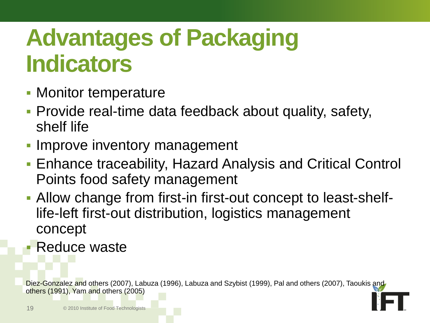## **Advantages of Packaging Indicators**

- **Monitor temperature**
- **Provide real-time data feedback about quality, safety,** shelf life
- Improve inventory management
- Enhance traceability, Hazard Analysis and Critical Control Points food safety management
- Allow change from first-in first-out concept to least-shelflife-left first-out distribution, logistics management concept
- Reduce waste

Diez-Gonzalez and others (2007), Labuza (1996), Labuza and Szybist (1999), Pal and others (2007), Taoukis and others (1991), Yam and others (2005)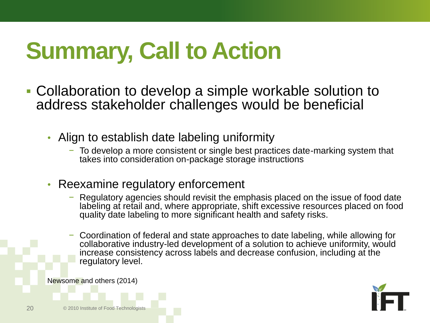# **Summary, Call to Action**

- Collaboration to develop a simple workable solution to address stakeholder challenges would be beneficial
	- Align to establish date labeling uniformity
		- − To develop a more consistent or single best practices date-marking system that takes into consideration on-package storage instructions
	- Reexamine regulatory enforcement
		- Regulatory agencies should revisit the emphasis placed on the issue of food date labeling at retail and, where appropriate, shift excessive resources placed on food quality date labeling to more significant health and safety risks.
		- − Coordination of federal and state approaches to date labeling, while allowing for collaborative industry-led development of a solution to achieve uniformity, would increase consistency across labels and decrease confusion, including at the regulatory level.

Newsome and others (2014)



20 © 2010 Institute of Food Technologists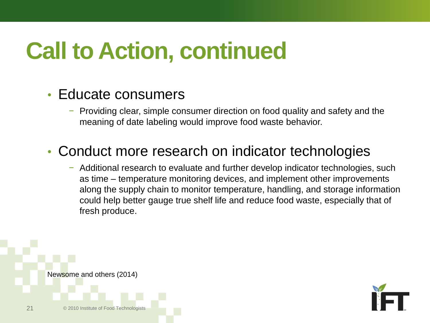# **Call to Action, continued**

#### • Educate consumers

− Providing clear, simple consumer direction on food quality and safety and the meaning of date labeling would improve food waste behavior.

#### • Conduct more research on indicator technologies

− Additional research to evaluate and further develop indicator technologies, such as time – temperature monitoring devices, and implement other improvements along the supply chain to monitor temperature, handling, and storage information could help better gauge true shelf life and reduce food waste, especially that of fresh produce.



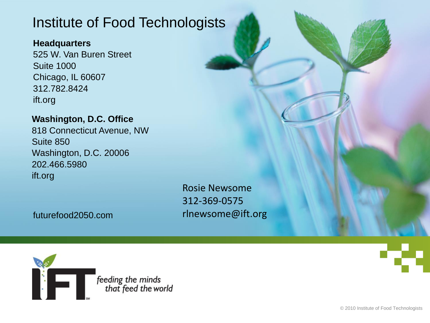#### Institute of Food Technologists

#### **Headquarters**

525 W. Van Buren Street Suite 1000 Chicago, IL 60607 312.782.8424 ift.org

#### **Washington, D.C. Office**

818 Connecticut Avenue, NW Suite 850 Washington, D.C. 20006 202.466.5980 ift.org

> Rosie Newsome 312-369-0575 rlnewsome@ift.org

futurefood2050.com

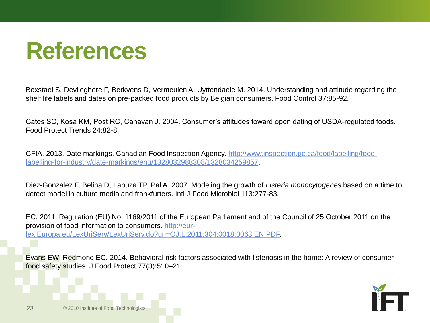#### **References**

Boxstael S, Devlieghere F, Berkvens D, Vermeulen A, Uyttendaele M. 2014. Understanding and attitude regarding the shelf life labels and dates on pre-packed food products by Belgian consumers. Food Control 37:85-92.

Cates SC, Kosa KM, Post RC, Canavan J. 2004. Consumer's attitudes toward open dating of USDA-regulated foods. Food Protect Trends 24:82-8.

CFIA. 2013. Date markings. Canadian Food Inspection Agency. [http://www.inspection.gc.ca/food/labelling/food](http://www.inspection.gc.ca/food/labelling/food-labelling-for-industry/date-markings/eng/1328032988308/1328034259857)[labelling-for-industry/date-markings/eng/1328032988308/1328034259857.](http://www.inspection.gc.ca/food/labelling/food-labelling-for-industry/date-markings/eng/1328032988308/1328034259857)

Diez-Gonzalez F, Belina D, Labuza TP, Pal A. 2007. Modeling the growth of *Listeria monocytogenes* based on a time to detect model in culture media and frankfurters. Intl J Food Microbiol 113:277-83.

EC. 2011. Regulation (EU) No. 1169/2011 of the European Parliament and of the Council of 25 October 2011 on the provision of food information to consumers. [http://eur](http://eur-lex.europa.eu/LexUriServ/LexUriServ.do?uri=OJ:L:2011:304:0018:0063:EN:PDF)[lex.Europa.eu/LexUriServ/LexUriServ.do?uri=OJ:L:2011:304:0018:0063:EN:PDF](http://eur-lex.europa.eu/LexUriServ/LexUriServ.do?uri=OJ:L:2011:304:0018:0063:EN:PDF).

Evans EW, Redmond EC. 2014. Behavioral risk factors associated with listeriosis in the home: A review of consumer food safety studies. J Food Protect 77(3):510–21.

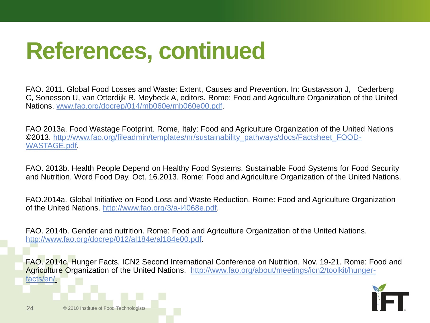24 © 2010 Institute of Food Technologists

FAO. 2011. Global Food Losses and Waste: Extent, Causes and Prevention. In: Gustavsson J, Cederberg C, Sonesson U, van Otterdijk R, Meybeck A, editors. Rome: Food and Agriculture Organization of the United Nations. [www.fao.org/docrep/014/mb060e/mb060e00.pdf](http://www.fao.org/docrep/014/mb060e/mb060e00.pdf).

FAO 2013a. Food Wastage Footprint. Rome, Italy: Food and Agriculture Organization of the United Nations ©2013. [http://www.fao.org/fileadmin/templates/nr/sustainability\\_pathways/docs/Factsheet\\_FOOD-](http://www.fao.org/fileadmin/templates/nr/sustainability_pathways/docs/Factsheet_FOOD-WASTAGE.pdf)[WASTAGE.pdf.](http://www.fao.org/fileadmin/templates/nr/sustainability_pathways/docs/Factsheet_FOOD-WASTAGE.pdf)

FAO. 2013b. Health People Depend on Healthy Food Systems. Sustainable Food Systems for Food Security and Nutrition. Word Food Day. Oct. 16.2013. Rome: Food and Agriculture Organization of the United Nations.

FAO.2014a. Global Initiative on Food Loss and Waste Reduction. Rome: Food and Agriculture Organization of the United Nations. [http://www.fao.org/3/a-i4068e.pdf.](http://www.fao.org/3/a-i4068e.pdf)

FAO. 2014b. Gender and nutrition. Rome: Food and Agriculture Organization of the United Nations. [http://www.fao.org/docrep/012/al184e/al184e00.pdf.](http://www.fao.org/docrep/012/al184e/al184e00.pdf)

FAO. 2014c. Hunger Facts. ICN2 Second International Conference on Nutrition. Nov. 19-21. Rome: Food and Agriculture Organization of the United Nations. [http://www.fao.org/about/meetings/icn2/toolkit/hunger](http://www.fao.org/about/meetings/icn2/toolkit/hunger-facts/en/)[facts/en/](http://www.fao.org/about/meetings/icn2/toolkit/hunger-facts/en/).

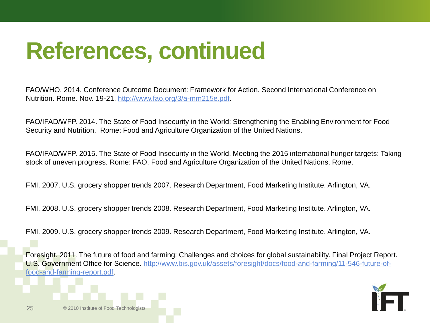FAO/WHO. 2014. Conference Outcome Document: Framework for Action. Second International Conference on Nutrition. Rome. Nov. 19-21.<http://www.fao.org/3/a-mm215e.pdf>.

FAO/IFAD/WFP. 2014. The State of Food Insecurity in the World: Strengthening the Enabling Environment for Food Security and Nutrition. Rome: Food and Agriculture Organization of the United Nations.

FAO/IFAD/WFP. 2015. The State of Food Insecurity in the World. Meeting the 2015 international hunger targets: Taking stock of uneven progress. Rome: FAO. Food and Agriculture Organization of the United Nations. Rome.

FMI. 2007. U.S. grocery shopper trends 2007. Research Department, Food Marketing Institute. Arlington, VA.

FMI. 2008. U.S. grocery shopper trends 2008. Research Department, Food Marketing Institute. Arlington, VA.

FMI. 2009. U.S. grocery shopper trends 2009. Research Department, Food Marketing Institute. Arlington, VA.

Foresight. 2011. The future of food and farming: Challenges and choices for global sustainability. Final Project Report. U.S. Government Office for Science. [http://www.bis.gov.uk/assets/foresight/docs/food-and-farming/11-546-future-of](http://www.bis.gov.uk/assets/foresight/docs/food-and-farming/11-546-future-of-food-and-farming-report.pdf)[food-and-farming-report.pdf.](http://www.bis.gov.uk/assets/foresight/docs/food-and-farming/11-546-future-of-food-and-farming-report.pdf)



25 © 2010 Institute of Food Technologists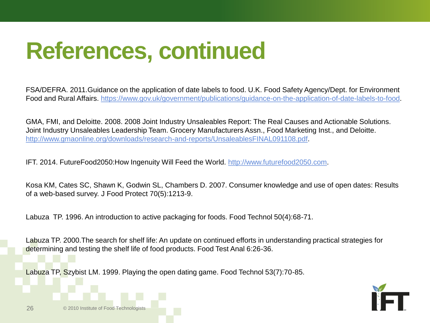FSA/DEFRA. 2011.Guidance on the application of date labels to food. U.K. Food Safety Agency/Dept. for Environment Food and Rural Affairs. <https://www.gov.uk/government/publications/guidance-on-the-application-of-date-labels-to-food>.

GMA, FMI, and Deloitte. 2008. 2008 Joint Industry Unsaleables Report: The Real Causes and Actionable Solutions. Joint Industry Unsaleables Leadership Team. Grocery Manufacturers Assn., Food Marketing Inst., and Deloitte. <http://www.gmaonline.org/downloads/research-and-reports/UnsaleablesFINAL091108.pdf>.

IFT. 2014. FutureFood2050:How Ingenuity Will Feed the World. [http://www.futurefood2050.com](http://www.futurefood2050.com/).

Kosa KM, Cates SC, Shawn K, Godwin SL, Chambers D. 2007. Consumer knowledge and use of open dates: Results of a web-based survey. J Food Protect 70(5):1213-9.

Labuza TP. 1996. An introduction to active packaging for foods. Food Technol 50(4):68-71.

Labuza TP. 2000.The search for shelf life: An update on continued efforts in understanding practical strategies for determining and testing the shelf life of food products. Food Test Anal 6:26-36.

Labuza TP, Szybist LM. 1999. Playing the open dating game. Food Technol 53(7):70-85.

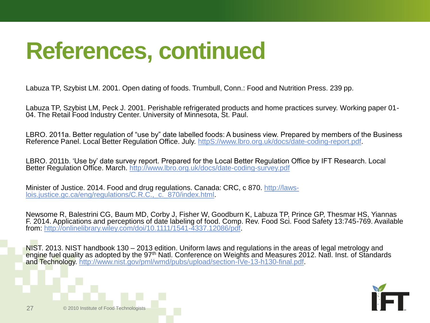Labuza TP, Szybist LM. 2001. Open dating of foods. Trumbull, Conn.: Food and Nutrition Press. 239 pp.

Labuza TP, Szybist LM, Peck J. 2001. Perishable refrigerated products and home practices survey. Working paper 01- 04. The Retail Food Industry Center. University of Minnesota, St. Paul.

LBRO. 2011a. Better regulation of "use by" date labelled foods: A business view. Prepared by members of the Business Reference Panel. Local Better Regulation Office. July. [httpS://www.lbro.org.uk/docs/date-coding-report.pdf.](https://www.lbro.org.uk/docs/date-coding-report.pdf)

LBRO. 2011b. 'Use by' date survey report. Prepared for the Local Better Regulation [O](http://www.lbro.org.uk/docs/date-coding-survey.pdf)ffice by IFT Research. Local Better Regulation Office. March. <http://www.lbro.org.uk/docs/date-coding-survey.pdf>

Minister of Justice. 2014. Food and drug regulations. Canada: CRC, c 870. [http://laws](http://laws-lois.justice.gc.ca/eng/regulations/C.R.C.,_c._870/index.html)[lois.justice.gc.ca/eng/regulations/C.R.C.,\\_c.\\_870/index.html.](http://laws-lois.justice.gc.ca/eng/regulations/C.R.C.,_c._870/index.html)

Newsome R, Balestrini CG, Baum MD, Corby J, Fisher W, Goodburn K, Labuza TP, Prince GP, Thesmar HS, Yiannas F. 2014. Applications and perceptions of date labeling of food. Comp. Rev. Food Sci. Food Safety 13:745-769. Available from: [http://onlinelibrary.wiley.com/doi/10.1111/1541-4337.12086/pdf.](http://onlinelibrary.wiley.com/doi/10.1111/1541-4337.12086/pdf)

NIST. 2013. NIST handbook 130 – 2013 edition. Uniform laws and regulations in the areas of legal metrology and engine fuel quality as adopted by the 97<sup>th</sup> Natl. Conference on Weights and Measures 2012. Natl. Inst. of Standards and Technology. [http://www.nist.gov/pml/wmd/pubs/upload/section-IVe-13-h130-final.pdf.](http://www.nist.gov/pml/wmd/pubs/upload/section-IVe-13-h130-final.pdf)



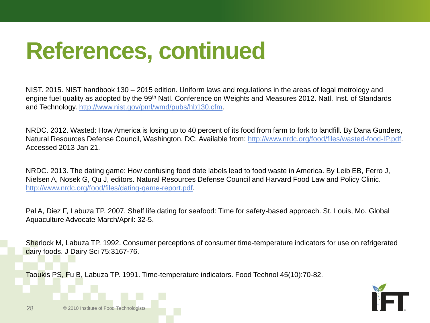NIST. 2015. NIST handbook 130 – 2015 edition. Uniform laws and regulations in the areas of legal metrology and engine fuel quality as adopted by the 99<sup>th</sup> Natl. Conference on Weights and Measures 2012. Natl. Inst. of Standards and Technology. [http://www.nist.gov/pml/wmd/pubs/hb130.cfm.](http://www.nist.gov/pml/wmd/pubs/hb130.cfm)

NRDC. 2012. Wasted: How America is losing up to 40 percent of its food from farm to fork to landfill. By Dana Gunders, Natural Resources Defense Council, Washington, DC. Available from: [http://www.nrdc.org/food/files/wasted-food-IP.pdf.](http://www.nrdc.org/food/files/wasted-food-IP.pdf) Accessed 2013 Jan 21.

NRDC. 2013. The dating game: How confusing food date labels lead to food waste in America. By Leib EB, Ferro J, Nielsen A, Nosek G, Qu J, editors. Natural Resources Defense Council and Harvard Food Law and Policy Clinic. <http://www.nrdc.org/food/files/dating-game-report.pdf>.

Pal A, Diez F, Labuza TP. 2007. Shelf life dating for seafood: Time for safety-based approach. St. Louis, Mo. Global Aquaculture Advocate March/April: 32-5.

Sherlock M, Labuza TP. 1992. Consumer perceptions of consumer time-temperature indicators for use on refrigerated dairy foods. J Dairy Sci 75:3167-76.

Taoukis PS, Fu B, Labuza TP. 1991. Time-temperature indicators. Food Technol 45(10):70-82.



28 © 2010 Institute of Food Technologists